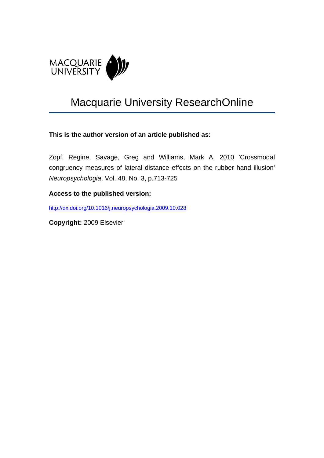

## Macquarie University ResearchOnline

## **This is the author version of an article published as:**

Zopf, Regine, Savage, Greg and Williams, Mark A. 2010 'Crossmodal congruency measures of lateral distance effects on the rubber hand illusion' *Neuropsychologia*, Vol. 48, No. 3, p.713-725

**Access to the published version:**

<http://dx.doi.org/>[10.1016/j.neuropsychologia.2009.10.028](http://dx.doi.org/10.1016/j.neuropsychologia.2009.10.028)

**Copyright:** 2009 Elsevier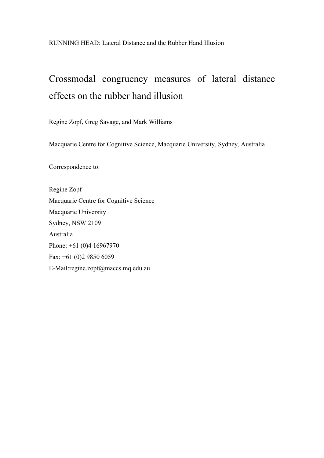## RUNNING HEAD: Lateral Distance and the Rubber Hand Illusion

# Crossmodal congruency measures of lateral distance effects on the rubber hand illusion

Regine Zopf, Greg Savage, and Mark Williams

Macquarie Centre for Cognitive Science, Macquarie University, Sydney, Australia

Correspondence to:

Regine Zopf Macquarie Centre for Cognitive Science Macquarie University Sydney, NSW 2109 Australia Phone: +61 (0)4 16967970 Fax: +61 (0)2 9850 6059 E-Mail:regine.zopf@maccs.mq.edu.au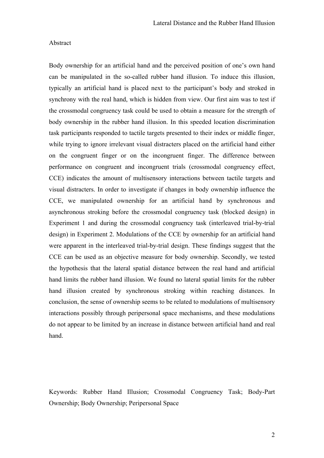#### Abstract

Body ownership for an artificial hand and the perceived position of one's own hand can be manipulated in the so-called rubber hand illusion. To induce this illusion, typically an artificial hand is placed next to the participant's body and stroked in synchrony with the real hand, which is hidden from view. Our first aim was to test if the crossmodal congruency task could be used to obtain a measure for the strength of body ownership in the rubber hand illusion. In this speeded location discrimination task participants responded to tactile targets presented to their index or middle finger, while trying to ignore irrelevant visual distracters placed on the artificial hand either on the congruent finger or on the incongruent finger. The difference between performance on congruent and incongruent trials (crossmodal congruency effect, CCE) indicates the amount of multisensory interactions between tactile targets and visual distracters. In order to investigate if changes in body ownership influence the CCE, we manipulated ownership for an artificial hand by synchronous and asynchronous stroking before the crossmodal congruency task (blocked design) in Experiment 1 and during the crossmodal congruency task (interleaved trial-by-trial design) in Experiment 2. Modulations of the CCE by ownership for an artificial hand were apparent in the interleaved trial-by-trial design. These findings suggest that the CCE can be used as an objective measure for body ownership. Secondly, we tested the hypothesis that the lateral spatial distance between the real hand and artificial hand limits the rubber hand illusion. We found no lateral spatial limits for the rubber hand illusion created by synchronous stroking within reaching distances. In conclusion, the sense of ownership seems to be related to modulations of multisensory interactions possibly through peripersonal space mechanisms, and these modulations do not appear to be limited by an increase in distance between artificial hand and real hand.

Keywords: Rubber Hand Illusion; Crossmodal Congruency Task; Body-Part Ownership; Body Ownership; Peripersonal Space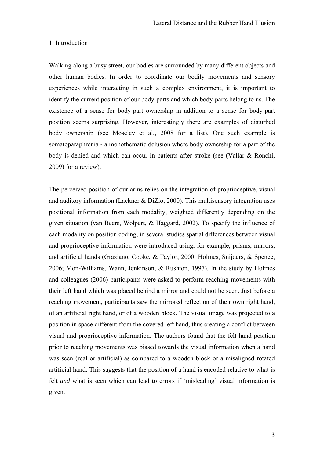#### 1. Introduction

Walking along a busy street, our bodies are surrounded by many different objects and other human bodies. In order to coordinate our bodily movements and sensory experiences while interacting in such a complex environment, it is important to identify the current position of our body-parts and which body-parts belong to us. The existence of a sense for body-part ownership in addition to a sense for body-part position seems surprising. However, interestingly there are examples of disturbed body ownership (see Moseley et al., 2008 for a list). One such example is somatoparaphrenia - a monothematic delusion where body ownership for a part of the body is denied and which can occur in patients after stroke (see (Vallar & Ronchi, 2009) for a review).

The perceived position of our arms relies on the integration of proprioceptive, visual and auditory information (Lackner & DiZio, 2000). This multisensory integration uses positional information from each modality, weighted differently depending on the given situation (van Beers, Wolpert, & Haggard, 2002). To specify the influence of each modality on position coding, in several studies spatial differences between visual and proprioceptive information were introduced using, for example, prisms, mirrors, and artificial hands (Graziano, Cooke, & Taylor, 2000; Holmes, Snijders, & Spence, 2006; Mon-Williams, Wann, Jenkinson, & Rushton, 1997). In the study by Holmes and colleagues (2006) participants were asked to perform reaching movements with their left hand which was placed behind a mirror and could not be seen. Just before a reaching movement, participants saw the mirrored reflection of their own right hand, of an artificial right hand, or of a wooden block. The visual image was projected to a position in space different from the covered left hand, thus creating a conflict between visual and proprioceptive information. The authors found that the felt hand position prior to reaching movements was biased towards the visual information when a hand was seen (real or artificial) as compared to a wooden block or a misaligned rotated artificial hand. This suggests that the position of a hand is encoded relative to what is felt *and* what is seen which can lead to errors if 'misleading' visual information is given.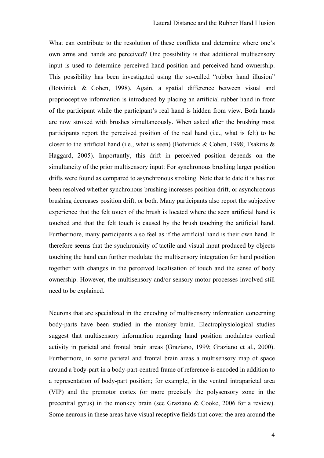What can contribute to the resolution of these conflicts and determine where one's own arms and hands are perceived? One possibility is that additional multisensory input is used to determine perceived hand position and perceived hand ownership. This possibility has been investigated using the so-called "rubber hand illusion" (Botvinick & Cohen, 1998). Again, a spatial difference between visual and proprioceptive information is introduced by placing an artificial rubber hand in front of the participant while the participant's real hand is hidden from view. Both hands are now stroked with brushes simultaneously. When asked after the brushing most participants report the perceived position of the real hand (i.e., what is felt) to be closer to the artificial hand (i.e., what is seen) (Botvinick & Cohen, 1998; Tsakiris & Haggard, 2005). Importantly, this drift in perceived position depends on the simultaneity of the prior multisensory input: For synchronous brushing larger position drifts were found as compared to asynchronous stroking. Note that to date it is has not been resolved whether synchronous brushing increases position drift, or asynchronous brushing decreases position drift, or both. Many participants also report the subjective experience that the felt touch of the brush is located where the seen artificial hand is touched and that the felt touch is caused by the brush touching the artificial hand. Furthermore, many participants also feel as if the artificial hand is their own hand. It therefore seems that the synchronicity of tactile and visual input produced by objects touching the hand can further modulate the multisensory integration for hand position together with changes in the perceived localisation of touch and the sense of body ownership. However, the multisensory and/or sensory-motor processes involved still need to be explained.

Neurons that are specialized in the encoding of multisensory information concerning body-parts have been studied in the monkey brain. Electrophysiological studies suggest that multisensory information regarding hand position modulates cortical activity in parietal and frontal brain areas (Graziano, 1999; Graziano et al., 2000). Furthermore, in some parietal and frontal brain areas a multisensory map of space around a body-part in a body-part-centred frame of reference is encoded in addition to a representation of body-part position; for example, in the ventral intraparietal area (VIP) and the premotor cortex (or more precisely the polysensory zone in the precentral gyrus) in the monkey brain (see Graziano & Cooke, 2006 for a review). Some neurons in these areas have visual receptive fields that cover the area around the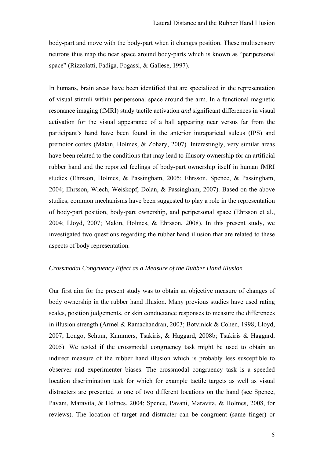body-part and move with the body-part when it changes position. These multisensory neurons thus map the near space around body-parts which is known as "peripersonal space" (Rizzolatti, Fadiga, Fogassi, & Gallese, 1997).

In humans, brain areas have been identified that are specialized in the representation of visual stimuli within peripersonal space around the arm. In a functional magnetic resonance imaging (fMRI) study tactile activation *and* significant differences in visual activation for the visual appearance of a ball appearing near versus far from the participant's hand have been found in the anterior intraparietal sulcus (IPS) and premotor cortex (Makin, Holmes, & Zohary, 2007). Interestingly, very similar areas have been related to the conditions that may lead to illusory ownership for an artificial rubber hand and the reported feelings of body-part ownership itself in human fMRI studies (Ehrsson, Holmes, & Passingham, 2005; Ehrsson, Spence, & Passingham, 2004; Ehrsson, Wiech, Weiskopf, Dolan, & Passingham, 2007). Based on the above studies, common mechanisms have been suggested to play a role in the representation of body-part position, body-part ownership, and peripersonal space (Ehrsson et al., 2004; Lloyd, 2007; Makin, Holmes, & Ehrsson, 2008). In this present study, we investigated two questions regarding the rubber hand illusion that are related to these aspects of body representation.

## *Crossmodal Congruency Effect as a Measure of the Rubber Hand Illusion*

Our first aim for the present study was to obtain an objective measure of changes of body ownership in the rubber hand illusion. Many previous studies have used rating scales, position judgements, or skin conductance responses to measure the differences in illusion strength (Armel & Ramachandran, 2003; Botvinick & Cohen, 1998; Lloyd, 2007; Longo, Schuur, Kammers, Tsakiris, & Haggard, 2008b; Tsakiris & Haggard, 2005). We tested if the crossmodal congruency task might be used to obtain an indirect measure of the rubber hand illusion which is probably less susceptible to observer and experimenter biases. The crossmodal congruency task is a speeded location discrimination task for which for example tactile targets as well as visual distracters are presented to one of two different locations on the hand (see Spence, Pavani, Maravita, & Holmes, 2004; Spence, Pavani, Maravita, & Holmes, 2008, for reviews). The location of target and distracter can be congruent (same finger) or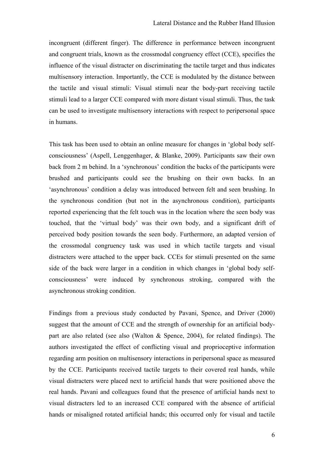incongruent (different finger). The difference in performance between incongruent and congruent trials, known as the crossmodal congruency effect (CCE), specifies the influence of the visual distracter on discriminating the tactile target and thus indicates multisensory interaction. Importantly, the CCE is modulated by the distance between the tactile and visual stimuli: Visual stimuli near the body-part receiving tactile stimuli lead to a larger CCE compared with more distant visual stimuli. Thus, the task can be used to investigate multisensory interactions with respect to peripersonal space in humans.

This task has been used to obtain an online measure for changes in 'global body selfconsciousness' (Aspell, Lenggenhager, & Blanke, 2009). Participants saw their own back from 2 m behind. In a 'synchronous' condition the backs of the participants were brushed and participants could see the brushing on their own backs. In an 'asynchronous' condition a delay was introduced between felt and seen brushing. In the synchronous condition (but not in the asynchronous condition), participants reported experiencing that the felt touch was in the location where the seen body was touched, that the 'virtual body' was their own body, and a significant drift of perceived body position towards the seen body. Furthermore, an adapted version of the crossmodal congruency task was used in which tactile targets and visual distracters were attached to the upper back. CCEs for stimuli presented on the same side of the back were larger in a condition in which changes in 'global body selfconsciousness' were induced by synchronous stroking, compared with the asynchronous stroking condition.

Findings from a previous study conducted by Pavani, Spence, and Driver (2000) suggest that the amount of CCE and the strength of ownership for an artificial bodypart are also related (see also (Walton & Spence, 2004), for related findings). The authors investigated the effect of conflicting visual and proprioceptive information regarding arm position on multisensory interactions in peripersonal space as measured by the CCE. Participants received tactile targets to their covered real hands, while visual distracters were placed next to artificial hands that were positioned above the real hands. Pavani and colleagues found that the presence of artificial hands next to visual distracters led to an increased CCE compared with the absence of artificial hands or misaligned rotated artificial hands; this occurred only for visual and tactile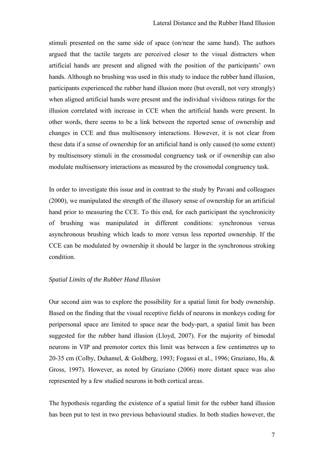stimuli presented on the same side of space (on/near the same hand). The authors argued that the tactile targets are perceived closer to the visual distracters when artificial hands are present and aligned with the position of the participants' own hands. Although no brushing was used in this study to induce the rubber hand illusion, participants experienced the rubber hand illusion more (but overall, not very strongly) when aligned artificial hands were present and the individual vividness ratings for the illusion correlated with increase in CCE when the artificial hands were present. In other words, there seems to be a link between the reported sense of ownership and changes in CCE and thus multisensory interactions. However, it is not clear from these data if a sense of ownership for an artificial hand is only caused (to some extent) by multisensory stimuli in the crossmodal congruency task or if ownership can also modulate multisensory interactions as measured by the crossmodal congruency task.

In order to investigate this issue and in contrast to the study by Pavani and colleagues (2000), we manipulated the strength of the illusory sense of ownership for an artificial hand prior to measuring the CCE. To this end, for each participant the synchronicity of brushing was manipulated in different conditions: synchronous versus asynchronous brushing which leads to more versus less reported ownership. If the CCE can be modulated by ownership it should be larger in the synchronous stroking condition.

#### *Spatial Limits of the Rubber Hand Illusion*

Our second aim was to explore the possibility for a spatial limit for body ownership. Based on the finding that the visual receptive fields of neurons in monkeys coding for peripersonal space are limited to space near the body-part, a spatial limit has been suggested for the rubber hand illusion (Lloyd, 2007). For the majority of bimodal neurons in VIP and premotor cortex this limit was between a few centimetres up to 20-35 cm (Colby, Duhamel, & Goldberg, 1993; Fogassi et al., 1996; Graziano, Hu, & Gross, 1997). However, as noted by Graziano (2006) more distant space was also represented by a few studied neurons in both cortical areas.

The hypothesis regarding the existence of a spatial limit for the rubber hand illusion has been put to test in two previous behavioural studies. In both studies however, the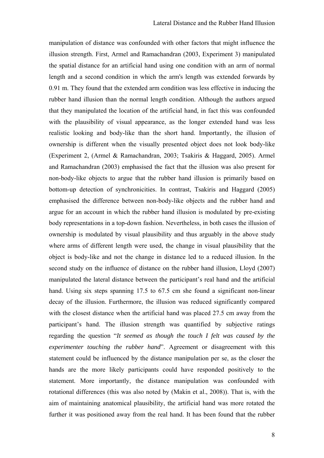manipulation of distance was confounded with other factors that might influence the illusion strength. First, Armel and Ramachandran (2003, Experiment 3) manipulated the spatial distance for an artificial hand using one condition with an arm of normal length and a second condition in which the arm's length was extended forwards by 0.91 m. They found that the extended arm condition was less effective in inducing the rubber hand illusion than the normal length condition. Although the authors argued that they manipulated the location of the artificial hand, in fact this was confounded with the plausibility of visual appearance, as the longer extended hand was less realistic looking and body-like than the short hand. Importantly, the illusion of ownership is different when the visually presented object does not look body-like (Experiment 2, (Armel & Ramachandran, 2003; Tsakiris & Haggard, 2005). Armel and Ramachandran (2003) emphasised the fact that the illusion was also present for non-body-like objects to argue that the rubber hand illusion is primarily based on bottom-up detection of synchronicities. In contrast, Tsakiris and Haggard (2005) emphasised the difference between non-body-like objects and the rubber hand and argue for an account in which the rubber hand illusion is modulated by pre-existing body representations in a top-down fashion. Nevertheless, in both cases the illusion of ownership is modulated by visual plausibility and thus arguably in the above study where arms of different length were used, the change in visual plausibility that the object is body-like and not the change in distance led to a reduced illusion. In the second study on the influence of distance on the rubber hand illusion, Lloyd (2007) manipulated the lateral distance between the participant's real hand and the artificial hand. Using six steps spanning 17.5 to 67.5 cm she found a significant non-linear decay of the illusion. Furthermore, the illusion was reduced significantly compared with the closest distance when the artificial hand was placed 27.5 cm away from the participant's hand. The illusion strength was quantified by subjective ratings regarding the question "*It seemed as though the touch I felt was caused by the experimenter touching the rubber hand*". Agreement or disagreement with this statement could be influenced by the distance manipulation per se, as the closer the hands are the more likely participants could have responded positively to the statement. More importantly, the distance manipulation was confounded with rotational differences (this was also noted by (Makin et al., 2008)). That is, with the aim of maintaining anatomical plausibility, the artificial hand was more rotated the further it was positioned away from the real hand. It has been found that the rubber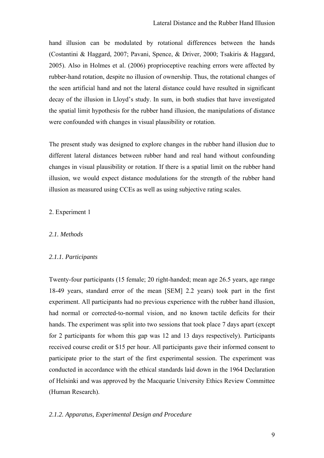hand illusion can be modulated by rotational differences between the hands (Costantini & Haggard, 2007; Pavani, Spence, & Driver, 2000; Tsakiris & Haggard, 2005). Also in Holmes et al. (2006) proprioceptive reaching errors were affected by rubber-hand rotation, despite no illusion of ownership. Thus, the rotational changes of the seen artificial hand and not the lateral distance could have resulted in significant decay of the illusion in Lloyd's study. In sum, in both studies that have investigated the spatial limit hypothesis for the rubber hand illusion, the manipulations of distance were confounded with changes in visual plausibility or rotation.

The present study was designed to explore changes in the rubber hand illusion due to different lateral distances between rubber hand and real hand without confounding changes in visual plausibility or rotation. If there is a spatial limit on the rubber hand illusion, we would expect distance modulations for the strength of the rubber hand illusion as measured using CCEs as well as using subjective rating scales.

#### 2. Experiment 1

#### *2.1. Methods*

#### *2.1.1. Participants*

Twenty-four participants (15 female; 20 right-handed; mean age 26.5 years, age range 18-49 years, standard error of the mean [SEM] 2.2 years) took part in the first experiment. All participants had no previous experience with the rubber hand illusion, had normal or corrected-to-normal vision, and no known tactile deficits for their hands. The experiment was split into two sessions that took place 7 days apart (except) for 2 participants for whom this gap was 12 and 13 days respectively). Participants received course credit or \$15 per hour. All participants gave their informed consent to participate prior to the start of the first experimental session. The experiment was conducted in accordance with the ethical standards laid down in the 1964 Declaration of Helsinki and was approved by the Macquarie University Ethics Review Committee (Human Research).

#### *2.1.2. Apparatus, Experimental Design and Procedure*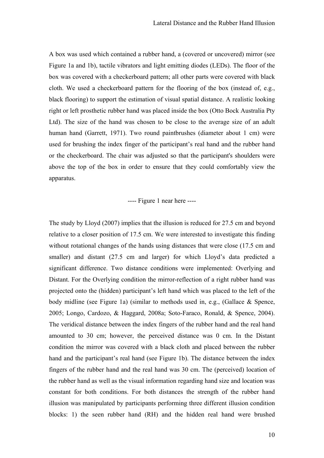A box was used which contained a rubber hand, a (covered or uncovered) mirror (see Figure 1a and 1b), tactile vibrators and light emitting diodes (LEDs). The floor of the box was covered with a checkerboard pattern; all other parts were covered with black cloth. We used a checkerboard pattern for the flooring of the box (instead of, e.g., black flooring) to support the estimation of visual spatial distance. A realistic looking right or left prosthetic rubber hand was placed inside the box (Otto Bock Australia Pty Ltd). The size of the hand was chosen to be close to the average size of an adult human hand (Garrett, 1971). Two round paintbrushes (diameter about 1 cm) were used for brushing the index finger of the participant's real hand and the rubber hand or the checkerboard. The chair was adjusted so that the participant's shoulders were above the top of the box in order to ensure that they could comfortably view the apparatus.

## ---- Figure 1 near here ----

The study by Lloyd (2007) implies that the illusion is reduced for 27.5 cm and beyond relative to a closer position of 17.5 cm. We were interested to investigate this finding without rotational changes of the hands using distances that were close (17.5 cm and smaller) and distant (27.5 cm and larger) for which Lloyd's data predicted a significant difference. Two distance conditions were implemented: Overlying and Distant. For the Overlying condition the mirror-reflection of a right rubber hand was projected onto the (hidden) participant's left hand which was placed to the left of the body midline (see Figure 1a) (similar to methods used in, e.g., (Gallace & Spence, 2005; Longo, Cardozo, & Haggard, 2008a; Soto-Faraco, Ronald, & Spence, 2004). The veridical distance between the index fingers of the rubber hand and the real hand amounted to 30 cm; however, the perceived distance was 0 cm. In the Distant condition the mirror was covered with a black cloth and placed between the rubber hand and the participant's real hand (see Figure 1b). The distance between the index fingers of the rubber hand and the real hand was 30 cm. The (perceived) location of the rubber hand as well as the visual information regarding hand size and location was constant for both conditions. For both distances the strength of the rubber hand illusion was manipulated by participants performing three different illusion condition blocks: 1) the seen rubber hand (RH) and the hidden real hand were brushed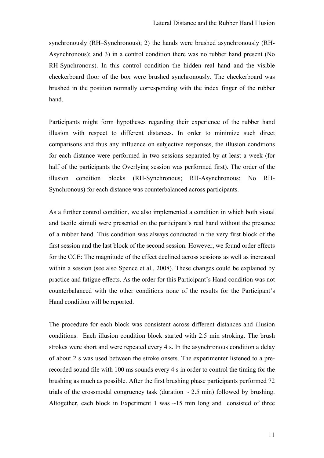synchronously (RH–Synchronous); 2) the hands were brushed asynchronously (RH-Asynchronous); and 3) in a control condition there was no rubber hand present (No RH-Synchronous). In this control condition the hidden real hand and the visible checkerboard floor of the box were brushed synchronously. The checkerboard was brushed in the position normally corresponding with the index finger of the rubber hand.

Participants might form hypotheses regarding their experience of the rubber hand illusion with respect to different distances. In order to minimize such direct comparisons and thus any influence on subjective responses, the illusion conditions for each distance were performed in two sessions separated by at least a week (for half of the participants the Overlying session was performed first). The order of the illusion condition blocks (RH-Synchronous; RH-Asynchronous; No RH-Synchronous) for each distance was counterbalanced across participants.

As a further control condition, we also implemented a condition in which both visual and tactile stimuli were presented on the participant's real hand without the presence of a rubber hand. This condition was always conducted in the very first block of the first session and the last block of the second session. However, we found order effects for the CCE: The magnitude of the effect declined across sessions as well as increased within a session (see also Spence et al., 2008). These changes could be explained by practice and fatigue effects. As the order for this Participant's Hand condition was not counterbalanced with the other conditions none of the results for the Participant's Hand condition will be reported.

The procedure for each block was consistent across different distances and illusion conditions. Each illusion condition block started with 2.5 min stroking. The brush strokes were short and were repeated every 4 s. In the asynchronous condition a delay of about 2 s was used between the stroke onsets. The experimenter listened to a prerecorded sound file with 100 ms sounds every 4 s in order to control the timing for the brushing as much as possible. After the first brushing phase participants performed 72 trials of the crossmodal congruency task (duration  $\sim$  2.5 min) followed by brushing. Altogether, each block in Experiment 1 was  $\sim$ 15 min long and consisted of three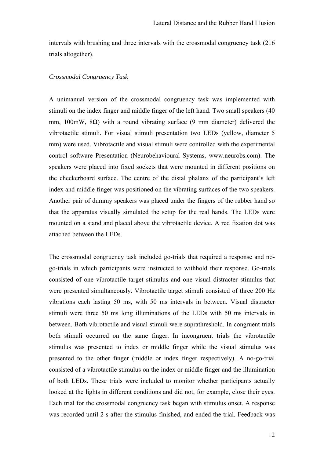intervals with brushing and three intervals with the crossmodal congruency task (216 trials altogether).

## *Crossmodal Congruency Task*

A unimanual version of the crossmodal congruency task was implemented with stimuli on the index finger and middle finger of the left hand. Two small speakers (40 mm, 100mW, 8Ω) with a round vibrating surface (9 mm diameter) delivered the vibrotactile stimuli. For visual stimuli presentation two LEDs (yellow, diameter 5 mm) were used. Vibrotactile and visual stimuli were controlled with the experimental control software Presentation (Neurobehavioural Systems, www.neurobs.com). The speakers were placed into fixed sockets that were mounted in different positions on the checkerboard surface. The centre of the distal phalanx of the participant's left index and middle finger was positioned on the vibrating surfaces of the two speakers. Another pair of dummy speakers was placed under the fingers of the rubber hand so that the apparatus visually simulated the setup for the real hands. The LEDs were mounted on a stand and placed above the vibrotactile device. A red fixation dot was attached between the LEDs.

The crossmodal congruency task included go-trials that required a response and nogo-trials in which participants were instructed to withhold their response. Go-trials consisted of one vibrotactile target stimulus and one visual distracter stimulus that were presented simultaneously. Vibrotactile target stimuli consisted of three 200 Hz vibrations each lasting 50 ms, with 50 ms intervals in between. Visual distracter stimuli were three 50 ms long illuminations of the LEDs with 50 ms intervals in between. Both vibrotactile and visual stimuli were suprathreshold. In congruent trials both stimuli occurred on the same finger. In incongruent trials the vibrotactile stimulus was presented to index or middle finger while the visual stimulus was presented to the other finger (middle or index finger respectively). A no-go-trial consisted of a vibrotactile stimulus on the index or middle finger and the illumination of both LEDs. These trials were included to monitor whether participants actually looked at the lights in different conditions and did not, for example, close their eyes. Each trial for the crossmodal congruency task began with stimulus onset. A response was recorded until 2 s after the stimulus finished, and ended the trial. Feedback was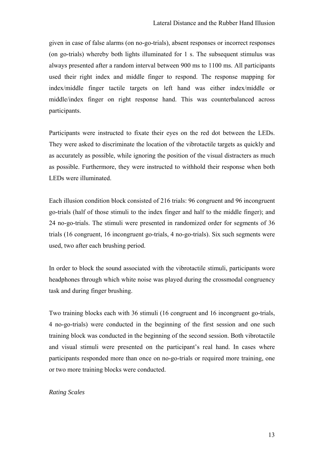given in case of false alarms (on no-go-trials), absent responses or incorrect responses (on go-trials) whereby both lights illuminated for 1 s. The subsequent stimulus was always presented after a random interval between 900 ms to 1100 ms. All participants used their right index and middle finger to respond. The response mapping for index/middle finger tactile targets on left hand was either index/middle or middle/index finger on right response hand. This was counterbalanced across participants.

Participants were instructed to fixate their eyes on the red dot between the LEDs. They were asked to discriminate the location of the vibrotactile targets as quickly and as accurately as possible, while ignoring the position of the visual distracters as much as possible. Furthermore, they were instructed to withhold their response when both LEDs were illuminated.

Each illusion condition block consisted of 216 trials: 96 congruent and 96 incongruent go-trials (half of those stimuli to the index finger and half to the middle finger); and 24 no-go-trials. The stimuli were presented in randomized order for segments of 36 trials (16 congruent, 16 incongruent go-trials, 4 no-go-trials). Six such segments were used, two after each brushing period.

In order to block the sound associated with the vibrotactile stimuli, participants wore headphones through which white noise was played during the crossmodal congruency task and during finger brushing.

Two training blocks each with 36 stimuli (16 congruent and 16 incongruent go-trials, 4 no-go-trials) were conducted in the beginning of the first session and one such training block was conducted in the beginning of the second session. Both vibrotactile and visual stimuli were presented on the participant's real hand. In cases where participants responded more than once on no-go-trials or required more training, one or two more training blocks were conducted.

#### *Rating Scales*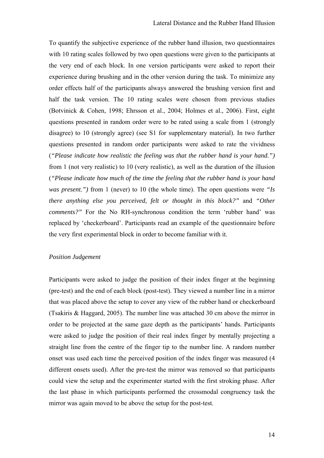To quantify the subjective experience of the rubber hand illusion, two questionnaires with 10 rating scales followed by two open questions were given to the participants at the very end of each block. In one version participants were asked to report their experience during brushing and in the other version during the task. To minimize any order effects half of the participants always answered the brushing version first and half the task version. The 10 rating scales were chosen from previous studies (Botvinick & Cohen, 1998; Ehrsson et al., 2004; Holmes et al., 2006). First, eight questions presented in random order were to be rated using a scale from 1 (strongly disagree) to 10 (strongly agree) (see S1 for supplementary material). In two further questions presented in random order participants were asked to rate the vividness (*"Please indicate how realistic the feeling was that the rubber hand is your hand.")*  from 1 (not very realistic) to 10 (very realistic), as well as the duration of the illusion (*"Please indicate how much of the time the feeling that the rubber hand is your hand was present.")* from 1 (never) to 10 (the whole time). The open questions were *"Is there anything else you perceived, felt or thought in this block?"* and *"Other comments?"* For the No RH-synchronous condition the term 'rubber hand' was replaced by 'checkerboard'. Participants read an example of the questionnaire before the very first experimental block in order to become familiar with it.

#### *Position Judgement*

Participants were asked to judge the position of their index finger at the beginning (pre-test) and the end of each block (post-test). They viewed a number line in a mirror that was placed above the setup to cover any view of the rubber hand or checkerboard (Tsakiris & Haggard, 2005). The number line was attached 30 cm above the mirror in order to be projected at the same gaze depth as the participants' hands. Participants were asked to judge the position of their real index finger by mentally projecting a straight line from the centre of the finger tip to the number line. A random number onset was used each time the perceived position of the index finger was measured (4 different onsets used). After the pre-test the mirror was removed so that participants could view the setup and the experimenter started with the first stroking phase. After the last phase in which participants performed the crossmodal congruency task the mirror was again moved to be above the setup for the post-test.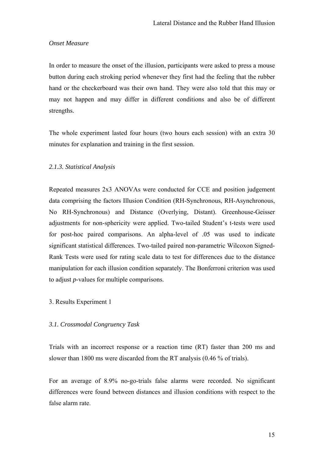#### *Onset Measure*

In order to measure the onset of the illusion, participants were asked to press a mouse button during each stroking period whenever they first had the feeling that the rubber hand or the checkerboard was their own hand. They were also told that this may or may not happen and may differ in different conditions and also be of different strengths.

The whole experiment lasted four hours (two hours each session) with an extra 30 minutes for explanation and training in the first session.

#### *2.1.3. Statistical Analysis*

Repeated measures 2x3 ANOVAs were conducted for CCE and position judgement data comprising the factors Illusion Condition (RH-Synchronous, RH-Asynchronous, No RH-Synchronous) and Distance (Overlying, Distant). Greenhouse-Geisser adjustments for non-sphericity were applied. Two-tailed Student's t-tests were used for post-hoc paired comparisons. An alpha-level of .05 was used to indicate significant statistical differences. Two-tailed paired non-parametric Wilcoxon Signed-Rank Tests were used for rating scale data to test for differences due to the distance manipulation for each illusion condition separately. The Bonferroni criterion was used to adjust *p*-values for multiple comparisons.

#### 3. Results Experiment 1

#### *3.1. Crossmodal Congruency Task*

Trials with an incorrect response or a reaction time (RT) faster than 200 ms and slower than 1800 ms were discarded from the RT analysis (0.46 % of trials).

For an average of 8.9% no-go-trials false alarms were recorded. No significant differences were found between distances and illusion conditions with respect to the false alarm rate.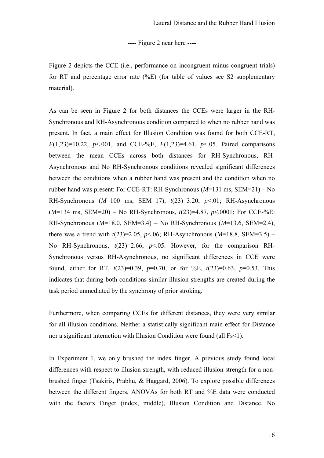---- Figure 2 near here ----

Figure 2 depicts the CCE (i.e., performance on incongruent minus congruent trials) for RT and percentage error rate (%E) (for table of values see S2 supplementary material).

As can be seen in Figure 2 for both distances the CCEs were larger in the RH-Synchronous and RH-Asynchronous condition compared to when no rubber hand was present. In fact, a main effect for Illusion Condition was found for both CCE-RT, *F*(1,23)=10.22, *p*<.001, and CCE-%E, *F*(1,23)=4.61, *p*<.05. Paired comparisons between the mean CCEs across both distances for RH-Synchronous, RH-Asynchronous and No RH-Synchronous conditions revealed significant differences between the conditions when a rubber hand was present and the condition when no rubber hand was present: For CCE-RT: RH-Synchronous (*M*=131 ms, SEM=21) – No RH-Synchronous (*M*=100 ms, SEM=17), *t*(23)=3.20, *p*<.01; RH-Asynchronous (*M*=134 ms, SEM=20) – No RH-Synchronous, *t*(23)=4.87, *p*<.0001; For CCE-%E: RH-Synchronous (*M*=18.0, SEM=3.4) – No RH-Synchronous (*M*=13.6, SEM=2.4), there was a trend with  $t(23)=2.05$ ,  $p<.06$ ; RH-Asynchronous ( $M=18.8$ , SEM=3.5) – No RH-Synchronous, *t*(23)=2.66, *p*<.05. However, for the comparison RH-Synchronous versus RH-Asynchronous, no significant differences in CCE were found, either for RT, *t*(23)=0.39, *p*=0.70, or for %E, *t*(23)=0.63, *p*=0.53. This indicates that during both conditions similar illusion strengths are created during the task period unmediated by the synchrony of prior stroking.

Furthermore, when comparing CCEs for different distances, they were very similar for all illusion conditions. Neither a statistically significant main effect for Distance nor a significant interaction with Illusion Condition were found (all Fs<1).

In Experiment 1, we only brushed the index finger. A previous study found local differences with respect to illusion strength, with reduced illusion strength for a nonbrushed finger (Tsakiris, Prabhu, & Haggard, 2006). To explore possible differences between the different fingers, ANOVAs for both RT and %E data were conducted with the factors Finger (index, middle), Illusion Condition and Distance. No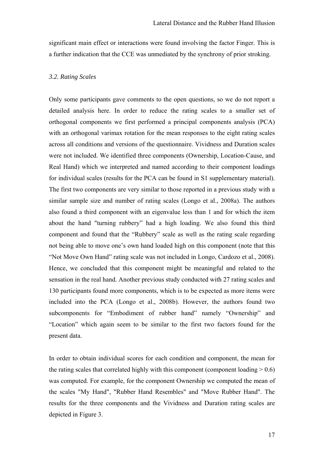significant main effect or interactions were found involving the factor Finger. This is a further indication that the CCE was unmediated by the synchrony of prior stroking.

#### *3.2. Rating Scales*

Only some participants gave comments to the open questions, so we do not report a detailed analysis here. In order to reduce the rating scales to a smaller set of orthogonal components we first performed a principal components analysis (PCA) with an orthogonal varimax rotation for the mean responses to the eight rating scales across all conditions and versions of the questionnaire. Vividness and Duration scales were not included. We identified three components (Ownership, Location-Cause, and Real Hand) which we interpreted and named according to their component loadings for individual scales (results for the PCA can be found in S1 supplementary material). The first two components are very similar to those reported in a previous study with a similar sample size and number of rating scales (Longo et al., 2008a). The authors also found a third component with an eigenvalue less than 1 and for which the item about the hand "turning rubbery" had a high loading. We also found this third component and found that the "Rubbery" scale as well as the rating scale regarding not being able to move one's own hand loaded high on this component (note that this "Not Move Own Hand" rating scale was not included in Longo, Cardozo et al., 2008). Hence, we concluded that this component might be meaningful and related to the sensation in the real hand. Another previous study conducted with 27 rating scales and 130 participants found more components, which is to be expected as more items were included into the PCA (Longo et al., 2008b). However, the authors found two subcomponents for "Embodiment of rubber hand" namely "Ownership" and "Location" which again seem to be similar to the first two factors found for the present data.

In order to obtain individual scores for each condition and component, the mean for the rating scales that correlated highly with this component (component loading  $> 0.6$ ) was computed. For example, for the component Ownership we computed the mean of the scales "My Hand", "Rubber Hand Resembles" and "Move Rubber Hand". The results for the three components and the Vividness and Duration rating scales are depicted in Figure 3.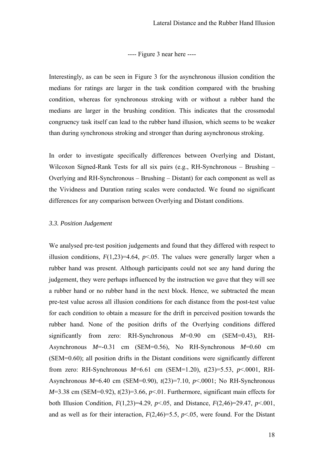---- Figure 3 near here ----

Interestingly, as can be seen in Figure 3 for the asynchronous illusion condition the medians for ratings are larger in the task condition compared with the brushing condition, whereas for synchronous stroking with or without a rubber hand the medians are larger in the brushing condition. This indicates that the crossmodal congruency task itself can lead to the rubber hand illusion, which seems to be weaker than during synchronous stroking and stronger than during asynchronous stroking.

In order to investigate specifically differences between Overlying and Distant, Wilcoxon Signed-Rank Tests for all six pairs (e.g., RH-Synchronous – Brushing – Overlying and RH-Synchronous – Brushing – Distant) for each component as well as the Vividness and Duration rating scales were conducted. We found no significant differences for any comparison between Overlying and Distant conditions.

#### *3.3. Position Judgement*

We analysed pre-test position judgements and found that they differed with respect to illusion conditions,  $F(1,23)=4.64$ ,  $p<0.05$ . The values were generally larger when a rubber hand was present. Although participants could not see any hand during the judgement, they were perhaps influenced by the instruction we gave that they will see a rubber hand or no rubber hand in the next block. Hence, we subtracted the mean pre-test value across all illusion conditions for each distance from the post-test value for each condition to obtain a measure for the drift in perceived position towards the rubber hand. None of the position drifts of the Overlying conditions differed significantly from zero: RH-Synchronous *M*=0.90 cm (SEM=0.43), RH-Asynchronous *M*=-0.31 cm (SEM=0.56), No RH-Synchronous *M*=0.60 cm (SEM=0.60); all position drifts in the Distant conditions were significantly different from zero: RH-Synchronous *M*=6.61 cm (SEM=1.20), *t*(23)=5.53, *p*<.0001, RH-Asynchronous *M*=6.40 cm (SEM=0.90), *t*(23)=7.10, *p*<.0001; No RH-Synchronous  $M=3.38$  cm (SEM=0.92),  $t(23)=3.66$ ,  $p<0.01$ . Furthermore, significant main effects for both Illusion Condition, *F*(1,23)=4.29, *p*<.05, and Distance, *F*(2,46)=29.47, *p*<.001, and as well as for their interaction,  $F(2,46)=5.5$ ,  $p<.05$ , were found. For the Distant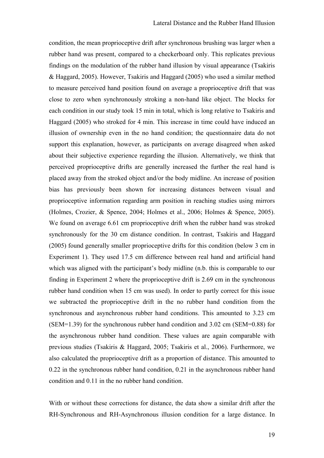condition, the mean proprioceptive drift after synchronous brushing was larger when a rubber hand was present, compared to a checkerboard only. This replicates previous findings on the modulation of the rubber hand illusion by visual appearance (Tsakiris & Haggard, 2005). However, Tsakiris and Haggard (2005) who used a similar method to measure perceived hand position found on average a proprioceptive drift that was close to zero when synchronously stroking a non-hand like object. The blocks for each condition in our study took 15 min in total, which is long relative to Tsakiris and Haggard (2005) who stroked for 4 min. This increase in time could have induced an illusion of ownership even in the no hand condition; the questionnaire data do not support this explanation, however, as participants on average disagreed when asked about their subjective experience regarding the illusion. Alternatively, we think that perceived proprioceptive drifts are generally increased the further the real hand is placed away from the stroked object and/or the body midline. An increase of position bias has previously been shown for increasing distances between visual and proprioceptive information regarding arm position in reaching studies using mirrors (Holmes, Crozier, & Spence, 2004; Holmes et al., 2006; Holmes & Spence, 2005). We found on average 6.61 cm proprioceptive drift when the rubber hand was stroked synchronously for the 30 cm distance condition. In contrast, Tsakiris and Haggard (2005) found generally smaller proprioceptive drifts for this condition (below 3 cm in Experiment 1). They used 17.5 cm difference between real hand and artificial hand which was aligned with the participant's body midline (n.b. this is comparable to our finding in Experiment 2 where the proprioceptive drift is 2.69 cm in the synchronous rubber hand condition when 15 cm was used). In order to partly correct for this issue we subtracted the proprioceptive drift in the no rubber hand condition from the synchronous and asynchronous rubber hand conditions. This amounted to 3.23 cm (SEM=1.39) for the synchronous rubber hand condition and 3.02 cm (SEM=0.88) for the asynchronous rubber hand condition. These values are again comparable with previous studies (Tsakiris & Haggard, 2005; Tsakiris et al., 2006). Furthermore, we also calculated the proprioceptive drift as a proportion of distance. This amounted to 0.22 in the synchronous rubber hand condition, 0.21 in the asynchronous rubber hand condition and 0.11 in the no rubber hand condition.

With or without these corrections for distance, the data show a similar drift after the RH-Synchronous and RH-Asynchronous illusion condition for a large distance. In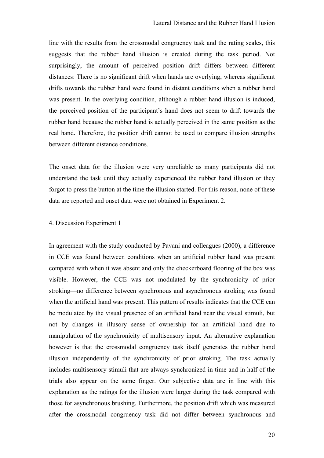line with the results from the crossmodal congruency task and the rating scales, this suggests that the rubber hand illusion is created during the task period. Not surprisingly, the amount of perceived position drift differs between different distances: There is no significant drift when hands are overlying, whereas significant drifts towards the rubber hand were found in distant conditions when a rubber hand was present. In the overlying condition, although a rubber hand illusion is induced, the perceived position of the participant's hand does not seem to drift towards the rubber hand because the rubber hand is actually perceived in the same position as the real hand. Therefore, the position drift cannot be used to compare illusion strengths between different distance conditions.

The onset data for the illusion were very unreliable as many participants did not understand the task until they actually experienced the rubber hand illusion or they forgot to press the button at the time the illusion started. For this reason, none of these data are reported and onset data were not obtained in Experiment 2.

#### 4. Discussion Experiment 1

In agreement with the study conducted by Pavani and colleagues (2000), a difference in CCE was found between conditions when an artificial rubber hand was present compared with when it was absent and only the checkerboard flooring of the box was visible. However, the CCE was not modulated by the synchronicity of prior stroking—no difference between synchronous and asynchronous stroking was found when the artificial hand was present. This pattern of results indicates that the CCE can be modulated by the visual presence of an artificial hand near the visual stimuli, but not by changes in illusory sense of ownership for an artificial hand due to manipulation of the synchronicity of multisensory input. An alternative explanation however is that the crossmodal congruency task itself generates the rubber hand illusion independently of the synchronicity of prior stroking. The task actually includes multisensory stimuli that are always synchronized in time and in half of the trials also appear on the same finger. Our subjective data are in line with this explanation as the ratings for the illusion were larger during the task compared with those for asynchronous brushing. Furthermore, the position drift which was measured after the crossmodal congruency task did not differ between synchronous and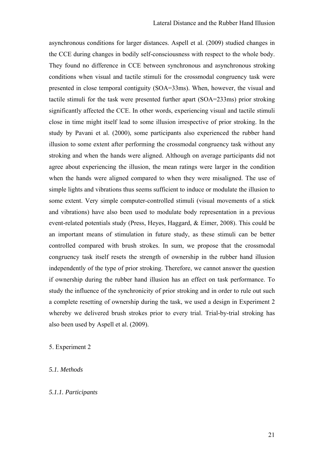asynchronous conditions for larger distances. Aspell et al. (2009) studied changes in the CCE during changes in bodily self-consciousness with respect to the whole body. They found no difference in CCE between synchronous and asynchronous stroking conditions when visual and tactile stimuli for the crossmodal congruency task were presented in close temporal contiguity (SOA=33ms). When, however, the visual and tactile stimuli for the task were presented further apart (SOA=233ms) prior stroking significantly affected the CCE. In other words, experiencing visual and tactile stimuli close in time might itself lead to some illusion irrespective of prior stroking. In the study by Pavani et al. (2000), some participants also experienced the rubber hand illusion to some extent after performing the crossmodal congruency task without any stroking and when the hands were aligned. Although on average participants did not agree about experiencing the illusion, the mean ratings were larger in the condition when the hands were aligned compared to when they were misaligned. The use of simple lights and vibrations thus seems sufficient to induce or modulate the illusion to some extent. Very simple computer-controlled stimuli (visual movements of a stick and vibrations) have also been used to modulate body representation in a previous event-related potentials study (Press, Heyes, Haggard, & Eimer, 2008). This could be an important means of stimulation in future study, as these stimuli can be better controlled compared with brush strokes. In sum, we propose that the crossmodal congruency task itself resets the strength of ownership in the rubber hand illusion independently of the type of prior stroking. Therefore, we cannot answer the question if ownership during the rubber hand illusion has an effect on task performance. To study the influence of the synchronicity of prior stroking and in order to rule out such a complete resetting of ownership during the task, we used a design in Experiment 2 whereby we delivered brush strokes prior to every trial. Trial-by-trial stroking has also been used by Aspell et al. (2009).

#### 5. Experiment 2

#### *5.1. Methods*

#### *5.1.1. Participants*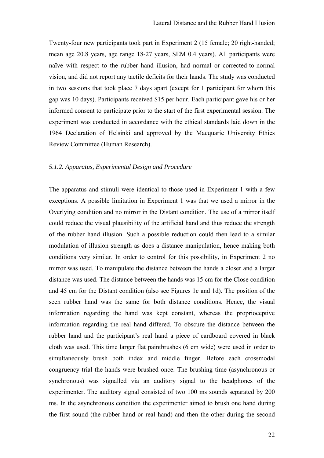Twenty-four new participants took part in Experiment 2 (15 female; 20 right-handed; mean age 20.8 years, age range 18-27 years, SEM 0.4 years). All participants were naïve with respect to the rubber hand illusion, had normal or corrected-to-normal vision, and did not report any tactile deficits for their hands. The study was conducted in two sessions that took place 7 days apart (except for 1 participant for whom this gap was 10 days). Participants received \$15 per hour. Each participant gave his or her informed consent to participate prior to the start of the first experimental session. The experiment was conducted in accordance with the ethical standards laid down in the 1964 Declaration of Helsinki and approved by the Macquarie University Ethics Review Committee (Human Research).

#### *5.1.2. Apparatus, Experimental Design and Procedure*

The apparatus and stimuli were identical to those used in Experiment 1 with a few exceptions. A possible limitation in Experiment 1 was that we used a mirror in the Overlying condition and no mirror in the Distant condition. The use of a mirror itself could reduce the visual plausibility of the artificial hand and thus reduce the strength of the rubber hand illusion. Such a possible reduction could then lead to a similar modulation of illusion strength as does a distance manipulation, hence making both conditions very similar. In order to control for this possibility, in Experiment 2 no mirror was used. To manipulate the distance between the hands a closer and a larger distance was used. The distance between the hands was 15 cm for the Close condition and 45 cm for the Distant condition (also see Figures 1c and 1d). The position of the seen rubber hand was the same for both distance conditions. Hence, the visual information regarding the hand was kept constant, whereas the proprioceptive information regarding the real hand differed. To obscure the distance between the rubber hand and the participant's real hand a piece of cardboard covered in black cloth was used. This time larger flat paintbrushes (6 cm wide) were used in order to simultaneously brush both index and middle finger. Before each crossmodal congruency trial the hands were brushed once. The brushing time (asynchronous or synchronous) was signalled via an auditory signal to the headphones of the experimenter. The auditory signal consisted of two 100 ms sounds separated by 200 ms. In the asynchronous condition the experimenter aimed to brush one hand during the first sound (the rubber hand or real hand) and then the other during the second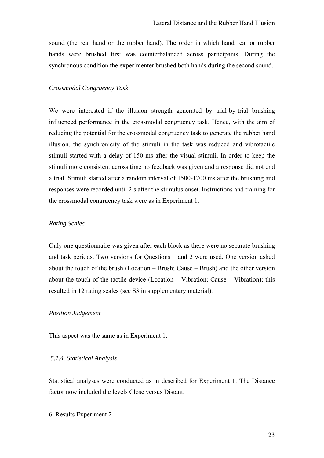sound (the real hand or the rubber hand). The order in which hand real or rubber hands were brushed first was counterbalanced across participants. During the synchronous condition the experimenter brushed both hands during the second sound.

#### *Crossmodal Congruency Task*

We were interested if the illusion strength generated by trial-by-trial brushing influenced performance in the crossmodal congruency task. Hence, with the aim of reducing the potential for the crossmodal congruency task to generate the rubber hand illusion, the synchronicity of the stimuli in the task was reduced and vibrotactile stimuli started with a delay of 150 ms after the visual stimuli. In order to keep the stimuli more consistent across time no feedback was given and a response did not end a trial. Stimuli started after a random interval of 1500-1700 ms after the brushing and responses were recorded until 2 s after the stimulus onset. Instructions and training for the crossmodal congruency task were as in Experiment 1.

#### *Rating Scales*

Only one questionnaire was given after each block as there were no separate brushing and task periods. Two versions for Questions 1 and 2 were used. One version asked about the touch of the brush (Location – Brush; Cause – Brush) and the other version about the touch of the tactile device (Location – Vibration; Cause – Vibration); this resulted in 12 rating scales (see S3 in supplementary material).

#### *Position Judgement*

This aspect was the same as in Experiment 1.

#### *5.1.4. Statistical Analysis*

Statistical analyses were conducted as in described for Experiment 1. The Distance factor now included the levels Close versus Distant.

#### 6. Results Experiment 2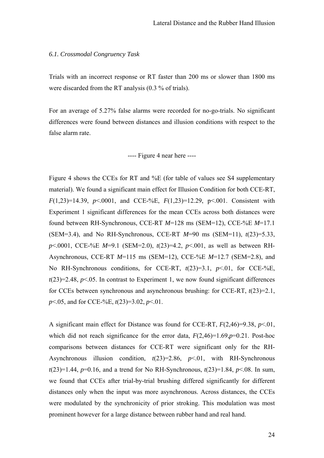#### *6.1. Crossmodal Congruency Task*

Trials with an incorrect response or RT faster than 200 ms or slower than 1800 ms were discarded from the RT analysis (0.3 % of trials).

For an average of 5.27% false alarms were recorded for no-go-trials. No significant differences were found between distances and illusion conditions with respect to the false alarm rate.

---- Figure 4 near here ----

Figure 4 shows the CCEs for RT and %E (for table of values see S4 supplementary material). We found a significant main effect for Illusion Condition for both CCE-RT, *F*(1,23)=14.39, *p*<.0001, and CCE-%E, *F*(1,23)=12.29, p<.001. Consistent with Experiment 1 significant differences for the mean CCEs across both distances were found between RH-Synchronous, CCE-RT *M*=128 ms (SEM=12), CCE-%E *M*=17.1 (SEM=3.4), and No RH-Synchronous, CCE-RT *M*=90 ms (SEM=11), *t*(23)=5.33, *p*<.0001, CCE-%E *M*=9.1 (SEM=2.0), *t*(23)=4.2, *p*<.001, as well as between RH-Asynchronous, CCE-RT *M*=115 ms (SEM=12), CCE-%E *M*=12.7 (SEM=2.8), and No RH-Synchronous conditions, for CCE-RT, *t*(23)=3.1, *p*<.01, for CCE-%E,  $t(23)=2.48$ ,  $p<0.05$ . In contrast to Experiment 1, we now found significant differences for CCEs between synchronous and asynchronous brushing: for CCE-RT, *t*(23)=2.1, *p*<.05, and for CCE-%E, *t*(23)=3.02, *p*<.01.

A significant main effect for Distance was found for CCE-RT, *F*(2,46)=9.38, *p*<.01, which did not reach significance for the error data,  $F(2,46)=1.69$ ,  $p=0.21$ . Post-hoc comparisons between distances for CCE-RT were significant only for the RH-Asynchronous illusion condition,  $t(23)=2.86$ ,  $p<0.01$ , with RH-Synchronous  $t(23)=1.44$ ,  $p=0.16$ , and a trend for No RH-Synchronous,  $t(23)=1.84$ ,  $p<.08$ . In sum, we found that CCEs after trial-by-trial brushing differed significantly for different distances only when the input was more asynchronous. Across distances, the CCEs were modulated by the synchronicity of prior stroking. This modulation was most prominent however for a large distance between rubber hand and real hand.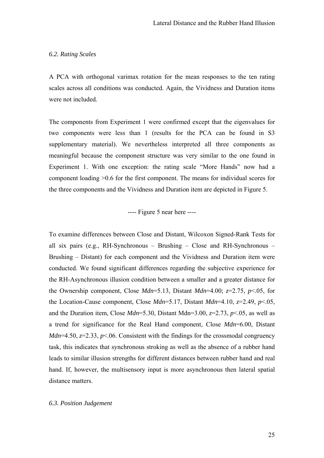#### *6.2. Rating Scales*

A PCA with orthogonal varimax rotation for the mean responses to the ten rating scales across all conditions was conducted. Again, the Vividness and Duration items were not included.

The components from Experiment 1 were confirmed except that the eigenvalues for two components were less than 1 (results for the PCA can be found in S3 supplementary material). We nevertheless interpreted all three components as meaningful because the component structure was very similar to the one found in Experiment 1. With one exception: the rating scale "More Hands" now had a component loading >0.6 for the first component. The means for individual scores for the three components and the Vividness and Duration item are depicted in Figure 5.

#### ---- Figure 5 near here ----

To examine differences between Close and Distant, Wilcoxon Signed-Rank Tests for all six pairs (e.g., RH-Synchronous – Brushing – Close and RH-Synchronous – Brushing – Distant) for each component and the Vividness and Duration item were conducted. We found significant differences regarding the subjective experience for the RH-Asynchronous illusion condition between a smaller and a greater distance for the Ownership component, Close  $Mdn=5.13$ , Distant  $Mdn=4.00$ ;  $z=2.75$ ,  $p<.05$ , for the Location-Cause component, Close  $Mdn=5.17$ , Distant  $Mdn=4.10$ ,  $z=2.49$ ,  $p<0.05$ , and the Duration item, Close  $Mdn=5.30$ , Distant Mdn=3.00,  $z=2.73$ ,  $p<0.05$ , as well as a trend for significance for the Real Hand component, Close *Mdn*=6.00, Distant *Mdn*=4.50,  $z=2.33$ ,  $p<0.06$ . Consistent with the findings for the crossmodal congruency task, this indicates that synchronous stroking as well as the absence of a rubber hand leads to similar illusion strengths for different distances between rubber hand and real hand. If, however, the multisensory input is more asynchronous then lateral spatial distance matters.

#### *6.3. Position Judgement*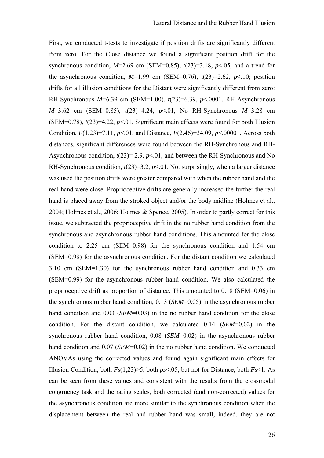First, we conducted t-tests to investigate if position drifts are significantly different from zero. For the Close distance we found a significant position drift for the synchronous condition,  $M=2.69$  cm (SEM=0.85),  $t(23)=3.18$ ,  $p<.05$ , and a trend for the asynchronous condition,  $M=1.99$  cm (SEM=0.76),  $t(23)=2.62$ ,  $p<10$ ; position drifts for all illusion conditions for the Distant were significantly different from zero: RH-Synchronous *M*=6.39 cm (SEM=1.00), *t*(23)=6.39, *p*<.0001, RH-Asynchronous *M*=3.62 cm (SEM=0.85), *t*(23)=4.24, *p*<.01, No RH-Synchronous *M*=3.28 cm (SEM=0.78),  $t(23)=4.22$ ,  $p<.01$ . Significant main effects were found for both Illusion Condition, *F*(1,23)=7.11, *p*<.01, and Distance, *F*(2,46)=34.09, *p*<.00001. Across both distances, significant differences were found between the RH-Synchronous and RH-Asynchronous condition,  $t(23)=2.9, p<0.01$ , and between the RH-Synchronous and No RH-Synchronous condition,  $t(23)=3.2$ ,  $p<01$ . Not surprisingly, when a larger distance was used the position drifts were greater compared with when the rubber hand and the real hand were close. Proprioceptive drifts are generally increased the further the real hand is placed away from the stroked object and/or the body midline (Holmes et al., 2004; Holmes et al., 2006; Holmes & Spence, 2005). In order to partly correct for this issue, we subtracted the proprioceptive drift in the no rubber hand condition from the synchronous and asynchronous rubber hand conditions. This amounted for the close condition to 2.25 cm (SEM=0.98) for the synchronous condition and 1.54 cm (SEM=0.98) for the asynchronous condition. For the distant condition we calculated 3.10 cm (SEM=1.30) for the synchronous rubber hand condition and 0.33 cm (SEM=0.99) for the asynchronous rubber hand condition. We also calculated the proprioceptive drift as proportion of distance. This amounted to 0.18 (SEM=0.06) in the synchronous rubber hand condition, 0.13 (*SEM*=0.05) in the asynchronous rubber hand condition and  $0.03$  (*SEM*=0.03) in the no rubber hand condition for the close condition. For the distant condition, we calculated 0.14 (*SEM*=0.02) in the synchronous rubber hand condition, 0.08 (*SEM*=0.02) in the asynchronous rubber hand condition and  $0.07$  (*SEM*=0.02) in the no rubber hand condition. We conducted ANOVAs using the corrected values and found again significant main effects for Illusion Condition, both *Fs*(1,23)>5, both *ps*<.05, but not for Distance, both *Fs*<1. As can be seen from these values and consistent with the results from the crossmodal congruency task and the rating scales, both corrected (and non-corrected) values for the asynchronous condition are more similar to the synchronous condition when the displacement between the real and rubber hand was small; indeed, they are not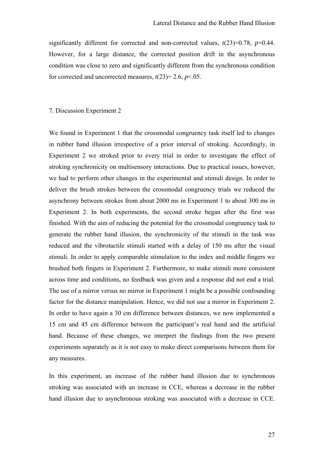significantly different for corrected and non-corrected values,  $t(23)=0.78$ ,  $p=0.44$ . However, for a large distance, the corrected position drift in the asynchronous condition was close to zero and significantly different from the synchronous condition for corrected and uncorrected measures,  $t(23)=2.6, p<0.05$ .

#### 7. Discussion Experiment 2

We found in Experiment 1 that the crossmodal congruency task itself led to changes in rubber hand illusion irrespective of a prior interval of stroking. Accordingly, in Experiment 2 we stroked prior to every trial in order to investigate the effect of stroking synchronicity on multisensory interactions. Due to practical issues, however, we had to perform other changes in the experimental and stimuli design. In order to deliver the brush strokes between the crossmodal congruency trials we reduced the asynchrony between strokes from about 2000 ms in Experiment 1 to about 300 ms in Experiment 2. In both experiments, the second stroke began after the first was finished. With the aim of reducing the potential for the crossmodal congruency task to generate the rubber hand illusion, the synchronicity of the stimuli in the task was reduced and the vibrotactile stimuli started with a delay of 150 ms after the visual stimuli. In order to apply comparable stimulation to the index and middle fingers we brushed both fingers in Experiment 2. Furthermore, to make stimuli more consistent across time and conditions, no feedback was given and a response did not end a trial. The use of a mirror versus no mirror in Experiment 1 might be a possible confounding factor for the distance manipulation. Hence, we did not use a mirror in Experiment 2. In order to have again a 30 cm difference between distances, we now implemented a 15 cm and 45 cm difference between the participant's real hand and the artificial hand. Because of these changes, we interpret the findings from the two present experiments separately as it is not easy to make direct comparisons between them for any measures.

In this experiment, an increase of the rubber hand illusion due to synchronous stroking was associated with an increase in CCE, whereas a decrease in the rubber hand illusion due to asynchronous stroking was associated with a decrease in CCE.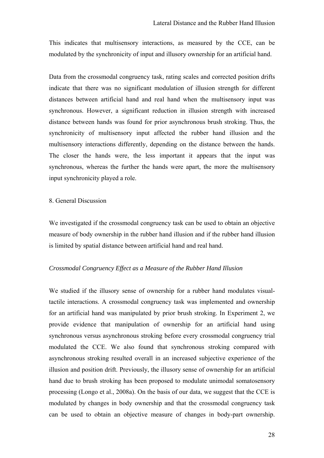This indicates that multisensory interactions, as measured by the CCE, can be modulated by the synchronicity of input and illusory ownership for an artificial hand.

Data from the crossmodal congruency task, rating scales and corrected position drifts indicate that there was no significant modulation of illusion strength for different distances between artificial hand and real hand when the multisensory input was synchronous. However, a significant reduction in illusion strength with increased distance between hands was found for prior asynchronous brush stroking. Thus, the synchronicity of multisensory input affected the rubber hand illusion and the multisensory interactions differently, depending on the distance between the hands. The closer the hands were, the less important it appears that the input was synchronous, whereas the further the hands were apart, the more the multisensory input synchronicity played a role.

## 8. General Discussion

We investigated if the crossmodal congruency task can be used to obtain an objective measure of body ownership in the rubber hand illusion and if the rubber hand illusion is limited by spatial distance between artificial hand and real hand.

#### *Crossmodal Congruency Effect as a Measure of the Rubber Hand Illusion*

We studied if the illusory sense of ownership for a rubber hand modulates visualtactile interactions. A crossmodal congruency task was implemented and ownership for an artificial hand was manipulated by prior brush stroking. In Experiment 2, we provide evidence that manipulation of ownership for an artificial hand using synchronous versus asynchronous stroking before every crossmodal congruency trial modulated the CCE. We also found that synchronous stroking compared with asynchronous stroking resulted overall in an increased subjective experience of the illusion and position drift. Previously, the illusory sense of ownership for an artificial hand due to brush stroking has been proposed to modulate unimodal somatosensory processing (Longo et al., 2008a). On the basis of our data, we suggest that the CCE is modulated by changes in body ownership and that the crossmodal congruency task can be used to obtain an objective measure of changes in body-part ownership.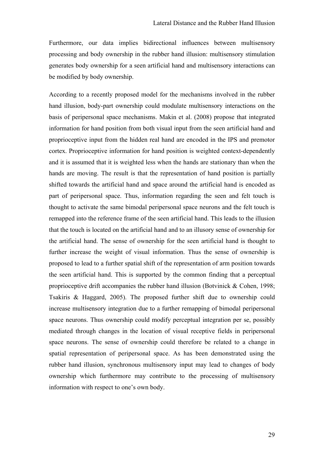Furthermore, our data implies bidirectional influences between multisensory processing and body ownership in the rubber hand illusion: multisensory stimulation generates body ownership for a seen artificial hand and multisensory interactions can be modified by body ownership.

According to a recently proposed model for the mechanisms involved in the rubber hand illusion, body-part ownership could modulate multisensory interactions on the basis of peripersonal space mechanisms. Makin et al. (2008) propose that integrated information for hand position from both visual input from the seen artificial hand and proprioceptive input from the hidden real hand are encoded in the IPS and premotor cortex. Proprioceptive information for hand position is weighted context-dependently and it is assumed that it is weighted less when the hands are stationary than when the hands are moving. The result is that the representation of hand position is partially shifted towards the artificial hand and space around the artificial hand is encoded as part of peripersonal space. Thus, information regarding the seen and felt touch is thought to activate the same bimodal peripersonal space neurons and the felt touch is remapped into the reference frame of the seen artificial hand. This leads to the illusion that the touch is located on the artificial hand and to an illusory sense of ownership for the artificial hand. The sense of ownership for the seen artificial hand is thought to further increase the weight of visual information. Thus the sense of ownership is proposed to lead to a further spatial shift of the representation of arm position towards the seen artificial hand. This is supported by the common finding that a perceptual proprioceptive drift accompanies the rubber hand illusion (Botvinick & Cohen, 1998; Tsakiris & Haggard, 2005). The proposed further shift due to ownership could increase multisensory integration due to a further remapping of bimodal peripersonal space neurons. Thus ownership could modify perceptual integration per se, possibly mediated through changes in the location of visual receptive fields in peripersonal space neurons. The sense of ownership could therefore be related to a change in spatial representation of peripersonal space. As has been demonstrated using the rubber hand illusion, synchronous multisensory input may lead to changes of body ownership which furthermore may contribute to the processing of multisensory information with respect to one's own body.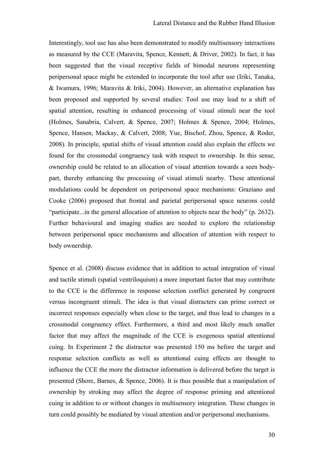Interestingly, tool use has also been demonstrated to modify multisensory interactions as measured by the CCE (Maravita, Spence, Kennett, & Driver, 2002). In fact, it has been suggested that the visual receptive fields of bimodal neurons representing peripersonal space might be extended to incorporate the tool after use (Iriki, Tanaka, & Iwamura, 1996; Maravita & Iriki, 2004). However, an alternative explanation has been proposed and supported by several studies: Tool use may lead to a shift of spatial attention, resulting in enhanced processing of visual stimuli near the tool (Holmes, Sanabria, Calvert, & Spence, 2007; Holmes & Spence, 2004; Holmes, Spence, Hansen, Mackay, & Calvert, 2008; Yue, Bischof, Zhou, Spence, & Roder, 2008). In principle, spatial shifts of visual attention could also explain the effects we found for the crossmodal congruency task with respect to ownership. In this sense, ownership could be related to an allocation of visual attention towards a seen bodypart, thereby enhancing the processing of visual stimuli nearby. These attentional modulations could be dependent on peripersonal space mechanisms: Graziano and Cooke (2006) proposed that frontal and parietal peripersonal space neurons could "participate...in the general allocation of attention to objects near the body" (p. 2632). Further behavioural and imaging studies are needed to explore the relationship between peripersonal space mechanisms and allocation of attention with respect to body ownership.

Spence et al. (2008) discuss evidence that in addition to actual integration of visual and tactile stimuli (spatial ventriloquism) a more important factor that may contribute to the CCE is the difference in response selection conflict generated by congruent versus incongruent stimuli. The idea is that visual distracters can prime correct or incorrect responses especially when close to the target, and thus lead to changes in a crossmodal congruency effect. Furthermore, a third and most likely much smaller factor that may affect the magnitude of the CCE is exogenous spatial attentional cuing. In Experiment 2 the distractor was presented 150 ms before the target and response selection conflicts as well as attentional cuing effects are thought to influence the CCE the more the distractor information is delivered before the target is presented (Shore, Barnes, & Spence, 2006). It is thus possible that a manipulation of ownership by stroking may affect the degree of response priming and attentional cuing in addition to or without changes in multisensory integration. These changes in turn could possibly be mediated by visual attention and/or peripersonal mechanisms.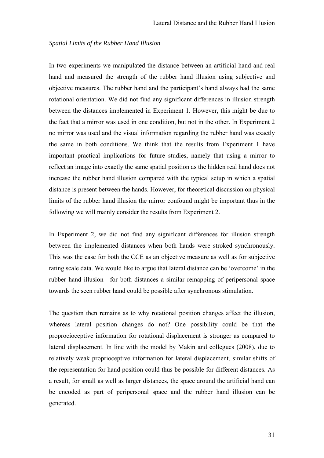#### *Spatial Limits of the Rubber Hand Illusion*

In two experiments we manipulated the distance between an artificial hand and real hand and measured the strength of the rubber hand illusion using subjective and objective measures. The rubber hand and the participant's hand always had the same rotational orientation. We did not find any significant differences in illusion strength between the distances implemented in Experiment 1. However, this might be due to the fact that a mirror was used in one condition, but not in the other. In Experiment 2 no mirror was used and the visual information regarding the rubber hand was exactly the same in both conditions. We think that the results from Experiment 1 have important practical implications for future studies, namely that using a mirror to reflect an image into exactly the same spatial position as the hidden real hand does not increase the rubber hand illusion compared with the typical setup in which a spatial distance is present between the hands. However, for theoretical discussion on physical limits of the rubber hand illusion the mirror confound might be important thus in the following we will mainly consider the results from Experiment 2.

In Experiment 2, we did not find any significant differences for illusion strength between the implemented distances when both hands were stroked synchronously. This was the case for both the CCE as an objective measure as well as for subjective rating scale data. We would like to argue that lateral distance can be 'overcome' in the rubber hand illusion—for both distances a similar remapping of peripersonal space towards the seen rubber hand could be possible after synchronous stimulation.

The question then remains as to why rotational position changes affect the illusion, whereas lateral position changes do not? One possibility could be that the proprocioceptive information for rotational displacement is stronger as compared to lateral displacement. In line with the model by Makin and collegues (2008), due to relatively weak proprioceptive information for lateral displacement, similar shifts of the representation for hand position could thus be possible for different distances. As a result, for small as well as larger distances, the space around the artificial hand can be encoded as part of peripersonal space and the rubber hand illusion can be generated.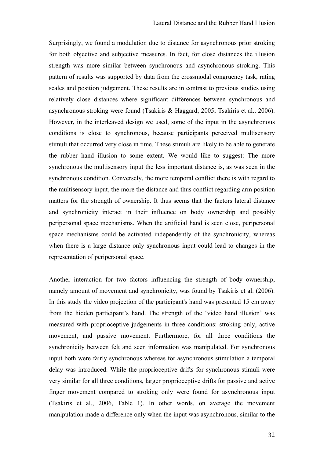Surprisingly, we found a modulation due to distance for asynchronous prior stroking for both objective and subjective measures. In fact, for close distances the illusion strength was more similar between synchronous and asynchronous stroking. This pattern of results was supported by data from the crossmodal congruency task, rating scales and position judgement. These results are in contrast to previous studies using relatively close distances where significant differences between synchronous and asynchronous stroking were found (Tsakiris & Haggard, 2005; Tsakiris et al., 2006). However, in the interleaved design we used, some of the input in the asynchronous conditions is close to synchronous, because participants perceived multisensory stimuli that occurred very close in time. These stimuli are likely to be able to generate the rubber hand illusion to some extent. We would like to suggest: The more synchronous the multisensory input the less important distance is, as was seen in the synchronous condition. Conversely, the more temporal conflict there is with regard to the multisensory input, the more the distance and thus conflict regarding arm position matters for the strength of ownership. It thus seems that the factors lateral distance and synchronicity interact in their influence on body ownership and possibly peripersonal space mechanisms. When the artificial hand is seen close, peripersonal space mechanisms could be activated independently of the synchronicity, whereas when there is a large distance only synchronous input could lead to changes in the representation of peripersonal space.

Another interaction for two factors influencing the strength of body ownership, namely amount of movement and synchronicity, was found by Tsakiris et al. (2006). In this study the video projection of the participant's hand was presented 15 cm away from the hidden participant's hand. The strength of the 'video hand illusion' was measured with proprioceptive judgements in three conditions: stroking only, active movement, and passive movement. Furthermore, for all three conditions the synchronicity between felt and seen information was manipulated. For synchronous input both were fairly synchronous whereas for asynchronous stimulation a temporal delay was introduced. While the proprioceptive drifts for synchronous stimuli were very similar for all three conditions, larger proprioceptive drifts for passive and active finger movement compared to stroking only were found for asynchronous input (Tsakiris et al., 2006, Table 1). In other words, on average the movement manipulation made a difference only when the input was asynchronous, similar to the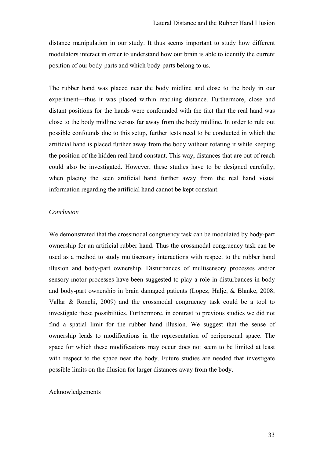distance manipulation in our study. It thus seems important to study how different modulators interact in order to understand how our brain is able to identify the current position of our body-parts and which body-parts belong to us.

The rubber hand was placed near the body midline and close to the body in our experiment—thus it was placed within reaching distance. Furthermore, close and distant positions for the hands were confounded with the fact that the real hand was close to the body midline versus far away from the body midline. In order to rule out possible confounds due to this setup, further tests need to be conducted in which the artificial hand is placed further away from the body without rotating it while keeping the position of the hidden real hand constant. This way, distances that are out of reach could also be investigated. However, these studies have to be designed carefully; when placing the seen artificial hand further away from the real hand visual information regarding the artificial hand cannot be kept constant.

#### *Conclusion*

We demonstrated that the crossmodal congruency task can be modulated by body-part ownership for an artificial rubber hand. Thus the crossmodal congruency task can be used as a method to study multisensory interactions with respect to the rubber hand illusion and body-part ownership. Disturbances of multisensory processes and/or sensory-motor processes have been suggested to play a role in disturbances in body and body-part ownership in brain damaged patients (Lopez, Halje, & Blanke, 2008; Vallar & Ronchi, 2009) and the crossmodal congruency task could be a tool to investigate these possibilities. Furthermore, in contrast to previous studies we did not find a spatial limit for the rubber hand illusion. We suggest that the sense of ownership leads to modifications in the representation of peripersonal space. The space for which these modifications may occur does not seem to be limited at least with respect to the space near the body. Future studies are needed that investigate possible limits on the illusion for larger distances away from the body.

#### Acknowledgements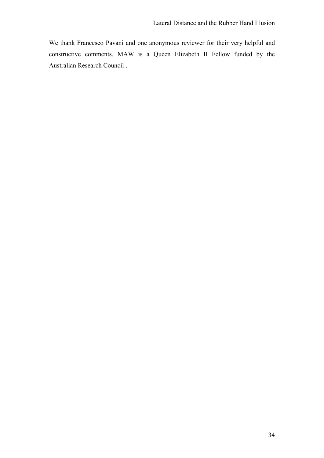We thank Francesco Pavani and one anonymous reviewer for their very helpful and constructive comments. MAW is a Queen Elizabeth II Fellow funded by the Australian Research Council .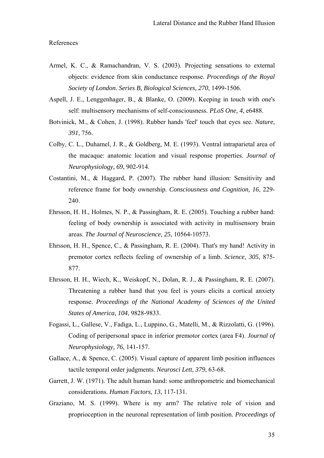References

- Armel, K. C., & Ramachandran, V. S. (2003). Projecting sensations to external objects: evidence from skin conductance response. *Proceedings of the Royal Society of London. Series B, Biological Sciences, 270*, 1499-1506.
- Aspell, J. E., Lenggenhager, B., & Blanke, O. (2009). Keeping in touch with one's self: multisensory mechanisms of self-consciousness. *PLoS One, 4*, e6488.
- Botvinick, M., & Cohen, J. (1998). Rubber hands 'feel' touch that eyes see. *Nature, 391*, 756.
- Colby, C. L., Duhamel, J. R., & Goldberg, M. E. (1993). Ventral intraparietal area of the macaque: anatomic location and visual response properties. *Journal of Neurophysiology, 69*, 902-914.
- Costantini, M., & Haggard, P. (2007). The rubber hand illusion: Sensitivity and reference frame for body ownership. *Consciousness and Cognition, 16*, 229- 240.
- Ehrsson, H. H., Holmes, N. P., & Passingham, R. E. (2005). Touching a rubber hand: feeling of body ownership is associated with activity in multisensory brain areas. *The Journal of Neuroscience, 25*, 10564-10573.
- Ehrsson, H. H., Spence, C., & Passingham, R. E. (2004). That's my hand! Activity in premotor cortex reflects feeling of ownership of a limb. *Science, 305*, 875- 877.
- Ehrsson, H. H., Wiech, K., Weiskopf, N., Dolan, R. J., & Passingham, R. E. (2007). Threatening a rubber hand that you feel is yours elicits a cortical anxiety response. *Proceedings of the National Academy of Sciences of the United States of America, 104*, 9828-9833.
- Fogassi, L., Gallese, V., Fadiga, L., Luppino, G., Matelli, M., & Rizzolatti, G. (1996). Coding of peripersonal space in inferior premotor cortex (area F4). *Journal of Neurophysiology, 76*, 141-157.
- Gallace, A., & Spence, C. (2005). Visual capture of apparent limb position influences tactile temporal order judgments. *Neurosci Lett, 379*, 63-68.
- Garrett, J. W. (1971). The adult human hand: some anthropometric and biomechanical considerations. *Human Factors, 13*, 117-131.
- Graziano, M. S. (1999). Where is my arm? The relative role of vision and proprioception in the neuronal representation of limb position. *Proceedings of*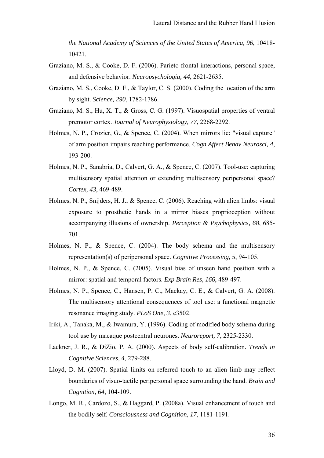*the National Academy of Sciences of the United States of America, 96*, 10418- 10421.

- Graziano, M. S., & Cooke, D. F. (2006). Parieto-frontal interactions, personal space, and defensive behavior. *Neuropsychologia, 44*, 2621-2635.
- Graziano, M. S., Cooke, D. F., & Taylor, C. S. (2000). Coding the location of the arm by sight. *Science, 290*, 1782-1786.
- Graziano, M. S., Hu, X. T., & Gross, C. G. (1997). Visuospatial properties of ventral premotor cortex. *Journal of Neurophysiology, 77*, 2268-2292.
- Holmes, N. P., Crozier, G., & Spence, C. (2004). When mirrors lie: "visual capture" of arm position impairs reaching performance. *Cogn Affect Behav Neurosci, 4*, 193-200.
- Holmes, N. P., Sanabria, D., Calvert, G. A., & Spence, C. (2007). Tool-use: capturing multisensory spatial attention or extending multisensory peripersonal space? *Cortex, 43*, 469-489.
- Holmes, N. P., Snijders, H. J., & Spence, C. (2006). Reaching with alien limbs: visual exposure to prosthetic hands in a mirror biases proprioception without accompanying illusions of ownership. *Perception & Psychophysics, 68*, 685- 701.
- Holmes, N. P., & Spence, C. (2004). The body schema and the multisensory representation(s) of peripersonal space. *Cognitive Processing, 5*, 94-105.
- Holmes, N. P., & Spence, C. (2005). Visual bias of unseen hand position with a mirror: spatial and temporal factors. *Exp Brain Res, 166*, 489-497.
- Holmes, N. P., Spence, C., Hansen, P. C., Mackay, C. E., & Calvert, G. A. (2008). The multisensory attentional consequences of tool use: a functional magnetic resonance imaging study. *PLoS One, 3*, e3502.
- Iriki, A., Tanaka, M., & Iwamura, Y. (1996). Coding of modified body schema during tool use by macaque postcentral neurones. *Neuroreport, 7*, 2325-2330.
- Lackner, J. R., & DiZio, P. A. (2000). Aspects of body self-calibration. *Trends in Cognitive Sciences, 4*, 279-288.
- Lloyd, D. M. (2007). Spatial limits on referred touch to an alien limb may reflect boundaries of visuo-tactile peripersonal space surrounding the hand. *Brain and Cognition, 64*, 104-109.
- Longo, M. R., Cardozo, S., & Haggard, P. (2008a). Visual enhancement of touch and the bodily self. *Consciousness and Cognition, 17*, 1181-1191.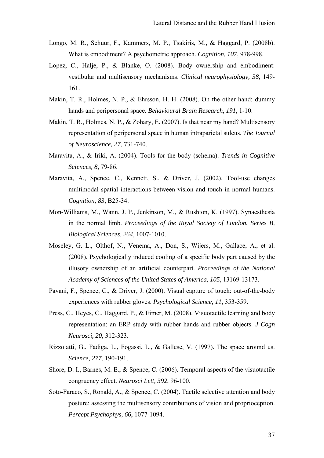- Longo, M. R., Schuur, F., Kammers, M. P., Tsakiris, M., & Haggard, P. (2008b). What is embodiment? A psychometric approach. *Cognition, 107*, 978-998.
- Lopez, C., Halje, P., & Blanke, O. (2008). Body ownership and embodiment: vestibular and multisensory mechanisms. *Clinical neurophysiology, 38*, 149- 161.
- Makin, T. R., Holmes, N. P., & Ehrsson, H. H. (2008). On the other hand: dummy hands and peripersonal space. *Behavioural Brain Research, 191*, 1-10.
- Makin, T. R., Holmes, N. P., & Zohary, E. (2007). Is that near my hand? Multisensory representation of peripersonal space in human intraparietal sulcus. *The Journal of Neuroscience, 27*, 731-740.
- Maravita, A., & Iriki, A. (2004). Tools for the body (schema). *Trends in Cognitive Sciences, 8*, 79-86.
- Maravita, A., Spence, C., Kennett, S., & Driver, J. (2002). Tool-use changes multimodal spatial interactions between vision and touch in normal humans. *Cognition, 83*, B25-34.
- Mon-Williams, M., Wann, J. P., Jenkinson, M., & Rushton, K. (1997). Synaesthesia in the normal limb. *Proceedings of the Royal Society of London. Series B, Biological Sciences, 264*, 1007-1010.
- Moseley, G. L., Olthof, N., Venema, A., Don, S., Wijers, M., Gallace, A., et al. (2008). Psychologically induced cooling of a specific body part caused by the illusory ownership of an artificial counterpart. *Proceedings of the National Academy of Sciences of the United States of America, 105*, 13169-13173.
- Pavani, F., Spence, C., & Driver, J. (2000). Visual capture of touch: out-of-the-body experiences with rubber gloves. *Psychological Science, 11*, 353-359.
- Press, C., Heyes, C., Haggard, P., & Eimer, M. (2008). Visuotactile learning and body representation: an ERP study with rubber hands and rubber objects. *J Cogn Neurosci, 20*, 312-323.
- Rizzolatti, G., Fadiga, L., Fogassi, L., & Gallese, V. (1997). The space around us. *Science, 277*, 190-191.
- Shore, D. I., Barnes, M. E., & Spence, C. (2006). Temporal aspects of the visuotactile congruency effect. *Neurosci Lett, 392*, 96-100.
- Soto-Faraco, S., Ronald, A., & Spence, C. (2004). Tactile selective attention and body posture: assessing the multisensory contributions of vision and proprioception. *Percept Psychophys, 66*, 1077-1094.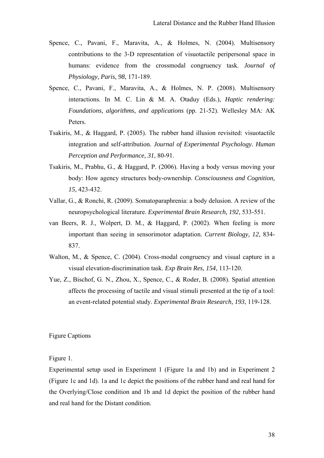- Spence, C., Pavani, F., Maravita, A., & Holmes, N. (2004). Multisensory contributions to the 3-D representation of visuotactile peripersonal space in humans: evidence from the crossmodal congruency task. *Journal of Physiology, Paris, 98*, 171-189.
- Spence, C., Pavani, F., Maravita, A., & Holmes, N. P. (2008). Multisensory interactions. In M. C. Lin & M. A. Otaduy (Eds.), *Haptic rendering: Foundations, algorithms, and applications* (pp. 21-52). Wellesley MA: AK Peters.
- Tsakiris, M., & Haggard, P. (2005). The rubber hand illusion revisited: visuotactile integration and self-attribution. *Journal of Experimental Psychology. Human Perception and Performance, 31*, 80-91.
- Tsakiris, M., Prabhu, G., & Haggard, P. (2006). Having a body versus moving your body: How agency structures body-ownership. *Consciousness and Cognition, 15*, 423-432.
- Vallar, G., & Ronchi, R. (2009). Somatoparaphrenia: a body delusion. A review of the neuropsychological literature. *Experimental Brain Research, 192*, 533-551.
- van Beers, R. J., Wolpert, D. M., & Haggard, P. (2002). When feeling is more important than seeing in sensorimotor adaptation. *Current Biology, 12*, 834- 837.
- Walton, M., & Spence, C. (2004). Cross-modal congruency and visual capture in a visual elevation-discrimination task. *Exp Brain Res, 154*, 113-120.
- Yue, Z., Bischof, G. N., Zhou, X., Spence, C., & Roder, B. (2008). Spatial attention affects the processing of tactile and visual stimuli presented at the tip of a tool: an event-related potential study. *Experimental Brain Research, 193*, 119-128.

Figure Captions

Figure 1.

Experimental setup used in Experiment 1 (Figure 1a and 1b) and in Experiment 2 (Figure 1c and 1d). 1a and 1c depict the positions of the rubber hand and real hand for the Overlying/Close condition and 1b and 1d depict the position of the rubber hand and real hand for the Distant condition.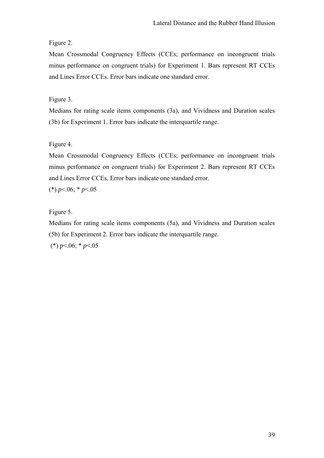Figure 2.

Mean Crossmodal Congruency Effects (CCEs; performance on incongruent trials minus performance on congruent trials) for Experiment 1. Bars represent RT CCEs and Lines Error CCEs. Error bars indicate one standard error.

Figure 3.

Medians for rating scale items components (3a), and Vividness and Duration scales (3b) for Experiment 1. Error bars indicate the interquartile range.

Figure 4.

Mean Crossmodal Congruency Effects (CCEs; performance on incongruent trials minus performance on congruent trials) for Experiment 2. Bars represent RT CCEs and Lines Error CCEs. Error bars indicate one standard error.

(\*)  $p < 0.06$ ; \*  $p < 0.05$ 

Figure 5.

Medians for rating scale items components (5a), and Vividness and Duration scales (5b) for Experiment 2. Error bars indicate the interquartile range.

(\*)  $p < 0.06$ ; \*  $p < 0.05$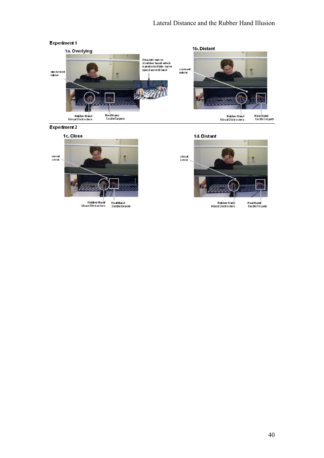

#### **Experiment 2**

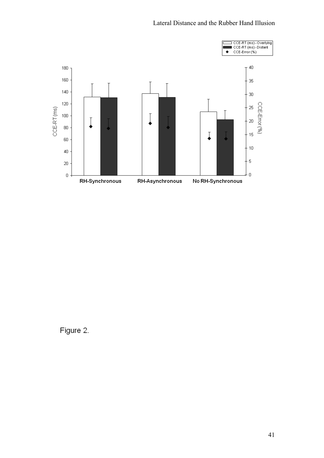



Figure 2.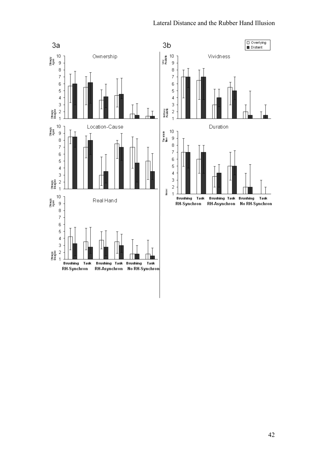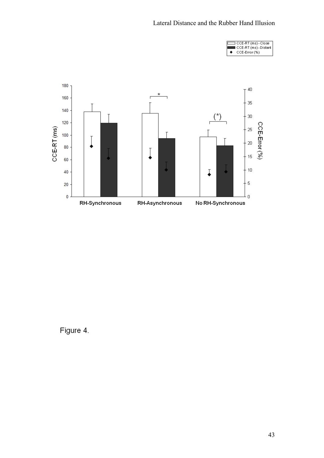



Figure 4.